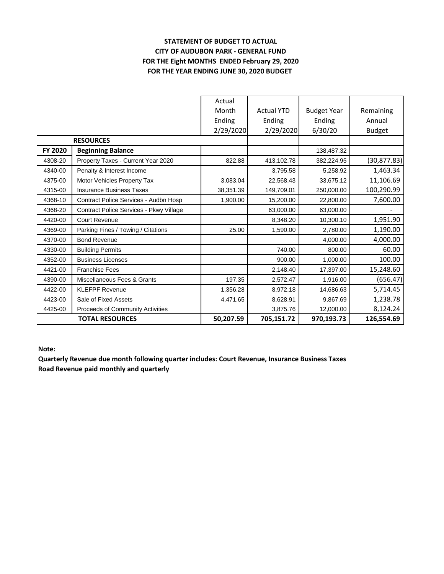## **STATEMENT OF BUDGET TO ACTUAL CITY OF AUDUBON PARK - GENERAL FUND FOR THE Eight MONTHS ENDED February 29, 2020 FOR THE YEAR ENDING JUNE 30, 2020 BUDGET**

|                        |                                         | Actual    |                   |                    |               |
|------------------------|-----------------------------------------|-----------|-------------------|--------------------|---------------|
|                        |                                         | Month     | <b>Actual YTD</b> | <b>Budget Year</b> | Remaining     |
|                        |                                         | Ending    | Ending            | Ending             | Annual        |
|                        |                                         | 2/29/2020 | 2/29/2020         | 6/30/20            | <b>Budget</b> |
| <b>RESOURCES</b>       |                                         |           |                   |                    |               |
| <b>FY 2020</b>         | <b>Beginning Balance</b>                |           |                   | 138,487.32         |               |
| 4308-20                | Property Taxes - Current Year 2020      | 822.88    | 413,102.78        | 382,224.95         | (30, 877.83)  |
| 4340-00                | Penalty & Interest Income               |           | 3,795.58          | 5.258.92           | 1,463.34      |
| 4375-00                | Motor Vehicles Property Tax             | 3,083.04  | 22,568.43         | 33,675.12          | 11,106.69     |
| 4315-00                | <b>Insurance Business Taxes</b>         | 38,351.39 | 149,709.01        | 250,000.00         | 100,290.99    |
| 4368-10                | Contract Police Services - Audbn Hosp   | 1,900.00  | 15,200.00         | 22,800.00          | 7,600.00      |
| 4368-20                | Contract Police Services - Pkwy Village |           | 63.000.00         | 63,000.00          |               |
| 4420-00                | <b>Court Revenue</b>                    |           | 8,348.20          | 10,300.10          | 1,951.90      |
| 4369-00                | Parking Fines / Towing / Citations      | 25.00     | 1,590.00          | 2,780.00           | 1,190.00      |
| 4370-00                | <b>Bond Revenue</b>                     |           |                   | 4,000.00           | 4,000.00      |
| 4330-00                | <b>Building Permits</b>                 |           | 740.00            | 800.00             | 60.00         |
| 4352-00                | <b>Business Licenses</b>                |           | 900.00            | 1,000.00           | 100.00        |
| 4421-00                | <b>Franchise Fees</b>                   |           | 2,148.40          | 17,397.00          | 15,248.60     |
| 4390-00                | Miscellaneous Fees & Grants             | 197.35    | 2,572.47          | 1,916.00           | (656.47)      |
| 4422-00                | <b>KLEFPF Revenue</b>                   | 1,356.28  | 8,972.18          | 14,686.63          | 5,714.45      |
| 4423-00                | Sale of Fixed Assets                    | 4,471.65  | 8,628.91          | 9,867.69           | 1,238.78      |
| 4425-00                | Proceeds of Community Activities        |           | 3,875.76          | 12,000.00          | 8,124.24      |
| <b>TOTAL RESOURCES</b> |                                         | 50,207.59 | 705,151.72        | 970,193.73         | 126,554.69    |

**Note:**

**Quarterly Revenue due month following quarter includes: Court Revenue, Insurance Business Taxes Road Revenue paid monthly and quarterly**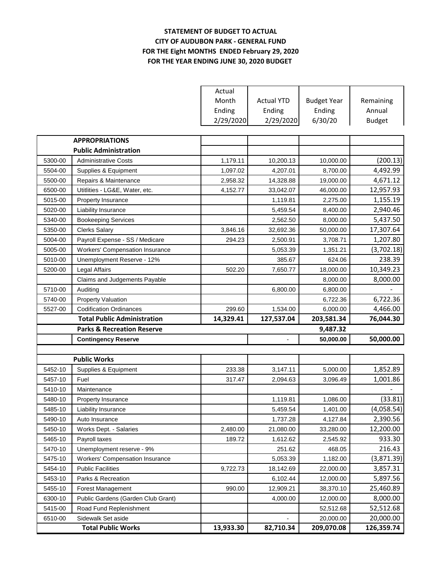## **STATEMENT OF BUDGET TO ACTUAL CITY OF AUDUBON PARK - GENERAL FUND FOR THE Eight MONTHS ENDED February 29, 2020 FOR THE YEAR ENDING JUNE 30, 2020 BUDGET**

|         |                                                 | Actual    |                   |                         |               |
|---------|-------------------------------------------------|-----------|-------------------|-------------------------|---------------|
|         |                                                 | Month     | <b>Actual YTD</b> | <b>Budget Year</b>      | Remaining     |
|         |                                                 | Ending    | Ending            | Ending                  | Annual        |
|         |                                                 | 2/29/2020 | 2/29/2020         | 6/30/20                 | <b>Budget</b> |
|         |                                                 |           |                   |                         |               |
|         | <b>APPROPRIATIONS</b>                           |           |                   |                         |               |
|         | <b>Public Administration</b>                    |           |                   |                         |               |
| 5300-00 | <b>Administrative Costs</b>                     | 1,179.11  | 10,200.13         | 10,000.00               | (200.13)      |
| 5504-00 | Supplies & Equipment                            | 1,097.02  | 4,207.01          | 8,700.00                | 4,492.99      |
| 5500-00 | Repairs & Maintenance                           | 2,958.32  | 14,328.88         | 19,000.00               | 4,671.12      |
| 6500-00 | Utitlities - LG&E, Water, etc.                  | 4,152.77  | 33,042.07         | 46,000.00               | 12,957.93     |
| 5015-00 | Property Insurance                              |           | 1,119.81          | 2,275.00                | 1,155.19      |
| 5020-00 | Liability Insurance                             |           | 5,459.54          | 8,400.00                | 2,940.46      |
| 5340-00 | <b>Bookeeping Services</b>                      |           | 2,562.50          | 8,000.00                | 5,437.50      |
| 5350-00 | <b>Clerks Salary</b>                            | 3,846.16  | 32,692.36         | 50,000.00               | 17,307.64     |
| 5004-00 | Payroll Expense - SS / Medicare                 | 294.23    | 2,500.91          | 3,708.71                | 1,207.80      |
| 5005-00 | <b>Workers' Compensation Insurance</b>          |           | 5,053.39          | 1,351.21                | (3,702.18)    |
| 5010-00 | Unemployment Reserve - 12%                      |           | 385.67            | 624.06                  | 238.39        |
| 5200-00 | Legal Affairs                                   | 502.20    | 7,650.77          | 18,000.00               | 10,349.23     |
|         | Claims and Judgements Payable                   |           |                   | 8,000.00                | 8,000.00      |
| 5710-00 | Auditing                                        |           | 6,800.00          | 6,800.00                |               |
| 5740-00 | <b>Property Valuation</b>                       |           |                   | 6,722.36                | 6,722.36      |
| 5527-00 | <b>Codification Ordinances</b>                  | 299.60    | 1,534.00          | 6,000.00                | 4,466.00      |
|         |                                                 |           |                   |                         |               |
|         | <b>Total Public Administration</b>              | 14,329.41 | 127,537.04        | 203,581.34              | 76,044.30     |
|         | <b>Parks &amp; Recreation Reserve</b>           |           |                   | 9,487.32                |               |
|         | <b>Contingency Reserve</b>                      |           |                   | 50,000.00               | 50,000.00     |
|         |                                                 |           |                   |                         |               |
|         | <b>Public Works</b>                             |           |                   |                         |               |
| 5452-10 | Supplies & Equipment                            | 233.38    | 3,147.11          | 5,000.00                | 1,852.89      |
| 5457-10 | Fuel                                            | 317.47    | 2,094.63          | 3,096.49                | 1,001.86      |
| 5410-10 | Maintenance                                     |           |                   |                         |               |
| 5480-10 | Property Insurance                              |           | 1,119.81          | 1,086.00                | (33.81)       |
| 5485-10 | Liability Insurance                             |           | 5,459.54          | 1,401.00                | (4,058.54)    |
| 5490-10 | Auto Insurance                                  |           | 1,737.28          | 4,127.84                | 2,390.56      |
| 5450-10 | Works Dept. - Salaries                          | 2,480.00  | 21,080.00         | 33,280.00               | 12,200.00     |
| 5465-10 | Payroll taxes                                   | 189.72    | 1,612.62          | 2,545.92                | 933.30        |
| 5470-10 | Unemployment reserve - 9%                       |           | 251.62            | 468.05                  | 216.43        |
| 5475-10 | <b>Workers' Compensation Insurance</b>          |           | 5,053.39          | 1,182.00                | (3,871.39)    |
| 5454-10 | <b>Public Facilities</b>                        | 9,722.73  | 18,142.69         | 22,000.00               | 3,857.31      |
| 5453-10 | Parks & Recreation                              |           | 6,102.44          | 12,000.00               | 5,897.56      |
| 5455-10 | Forest Management                               | 990.00    | 12,909.21         | 38,370.10               | 25,460.89     |
| 6300-10 | Public Gardens (Garden Club Grant)              |           | 4,000.00          | 12,000.00               | 8,000.00      |
| 5415-00 | Road Fund Replenishment                         |           |                   | 52,512.68               | 52,512.68     |
| 6510-00 | Sidewalk Set aside<br><b>Total Public Works</b> | 13,933.30 | 82,710.34         | 20,000.00<br>209,070.08 | 20,000.00     |